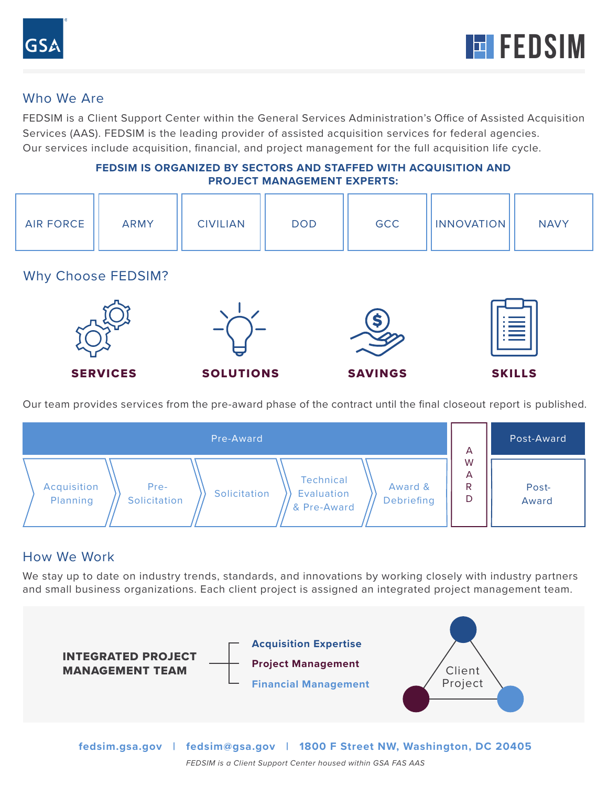

## Who We Are

FEDSIM is a Client Support Center within the General Services Administration's Office of Assisted Acquisition Services (AAS). FEDSIM is the leading provider of assisted acquisition services for federal agencies. Our services include acquisition, financial, and project management for the full acquisition life cycle.

#### **FEDSIM IS ORGANIZED BY SECTORS AND STAFFED WITH ACQUISITION AND PROJECT MANAGEMENT EXPERTS:**

| <b>AIR FORCE</b> | <b>ARMY</b> | <b>CIVILIAN</b> | <b>DOD</b> | <b>GCC</b> | <b>INNOVATION</b> | <b>NAVY</b> |
|------------------|-------------|-----------------|------------|------------|-------------------|-------------|
|------------------|-------------|-----------------|------------|------------|-------------------|-------------|

Why Choose FEDSIM?



Our team provides services from the pre-award phase of the contract until the final closeout report is published.

| Pre-Award                                                                                                                          | A                | Post-Award     |
|------------------------------------------------------------------------------------------------------------------------------------|------------------|----------------|
| Technical<br>Acquisition<br>Pre-<br>Award &<br>Solicitation<br>Evaluation<br>Planning<br>Solicitation<br>Debriefing<br>& Pre-Award | W<br>A<br>R<br>D | Post-<br>Award |

## How We Work

We stay up to date on industry trends, standards, and innovations by working closely with industry partners and small business organizations. Each client project is assigned an integrated project management team.



**fedsim.gsa.gov | fedsim@gsa.gov | 1800 F Street NW, Washington, DC 20405**